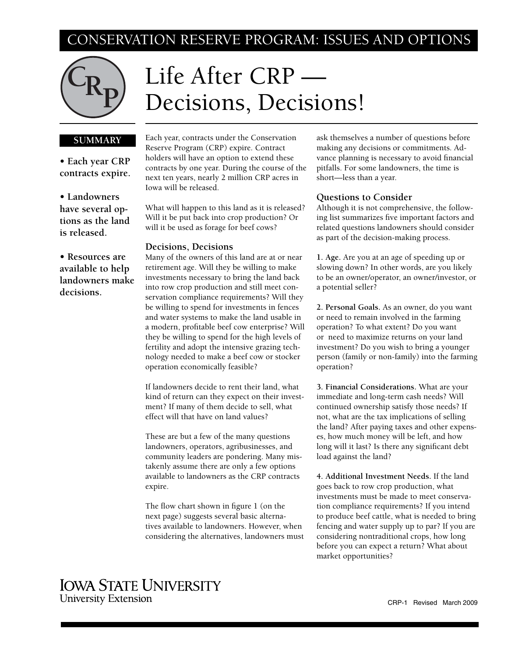## CONSERVATION RESERVE PROGRAM: ISSUES AND OPTIONS



# Life After CRP — Decisions, Decisions!

#### **SUMMARY**

**• Each year CRP contracts expire.**

**• Landowners have several options as the land is released.**

**• Resources are available to help landowners make decisions.**

Each year, contracts under the Conservation Reserve Program (CRP) expire. Contract holders will have an option to extend these contracts by one year. During the course of the next ten years, nearly 2 million CRP acres in Iowa will be released.

What will happen to this land as it is released? Will it be put back into crop production? Or will it be used as forage for beef cows?

#### **Decisions, Decisions**

Many of the owners of this land are at or near retirement age. Will they be willing to make investments necessary to bring the land back into row crop production and still meet conservation compliance requirements? Will they be willing to spend for investments in fences and water systems to make the land usable in a modern, profitable beef cow enterprise? Will they be willing to spend for the high levels of fertility and adopt the intensive grazing technology needed to make a beef cow or stocker operation economically feasible?

If landowners decide to rent their land, what kind of return can they expect on their investment? If many of them decide to sell, what effect will that have on land values?

These are but a few of the many questions landowners, operators, agribusinesses, and community leaders are pondering. Many mistakenly assume there are only a few options available to landowners as the CRP contracts expire.

The flow chart shown in figure 1 (on the next page) suggests several basic alternatives available to landowners. However, when considering the alternatives, landowners must ask themselves a number of questions before making any decisions or commitments. Advance planning is necessary to avoid financial pitfalls. For some landowners, the time is short—less than a year.

#### **Questions to Consider**

Although it is not comprehensive, the following list summarizes five important factors and related questions landowners should consider as part of the decision-making process.

**1. Age.** Are you at an age of speeding up or slowing down? In other words, are you likely to be an owner/operator, an owner/investor, or a potential seller?

**2. Personal Goals.** As an owner, do you want or need to remain involved in the farming operation? To what extent? Do you want or need to maximize returns on your land investment? Do you wish to bring a younger person (family or non-family) into the farming operation?

**3. Financial Considerations.** What are your immediate and long-term cash needs? Will continued ownership satisfy those needs? If not, what are the tax implications of selling the land? After paying taxes and other expenses, how much money will be left, and how long will it last? Is there any significant debt load against the land?

**4. Additional Investment Needs.** If the land goes back to row crop production, what investments must be made to meet conservation compliance requirements? If you intend to produce beef cattle, what is needed to bring fencing and water supply up to par? If you are considering nontraditional crops, how long before you can expect a return? What about market opportunities?

### **IOWA STATE UNIVERSITY University Extension**

CRP-1 Revised March 2009